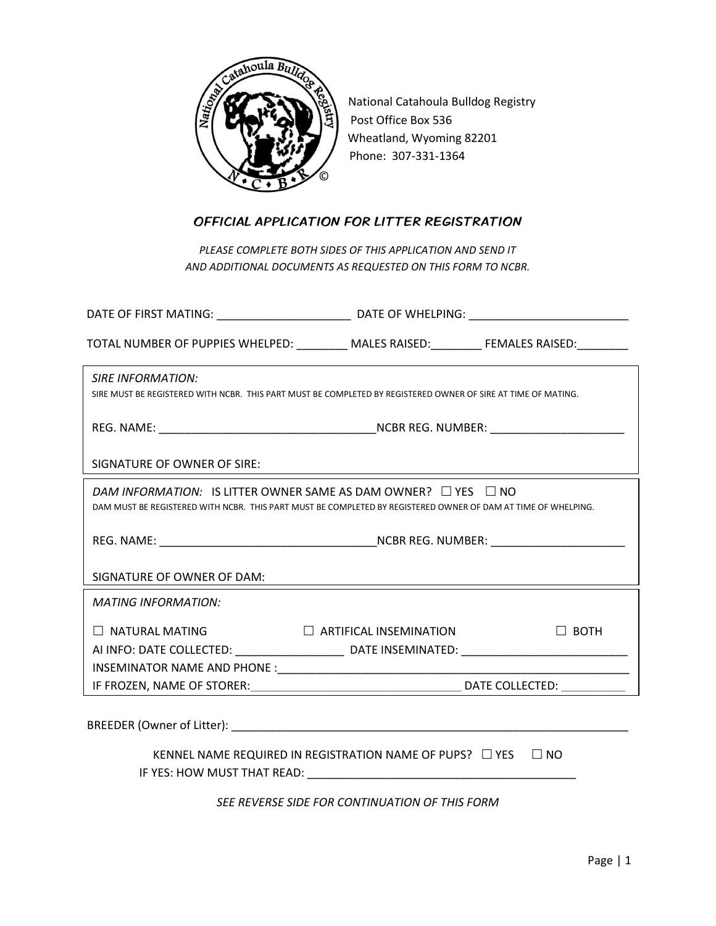

National Catahoula Bulldog Registry Post Office Box 536 Wheatland, Wyoming 82201 Phone: 307-331-1364

## OFFICIAL APPLICATION FOR LITTER REGISTRATION

*PLEASE COMPLETE BOTH SIDES OF THIS APPLICATION AND SEND IT AND ADDITIONAL DOCUMENTS AS REQUESTED ON THIS FORM TO NCBR.*

| TOTAL NUMBER OF PUPPIES WHELPED: _________ MALES RAISED: ________ FEMALES RAISED: ________                                                                                                |                               |             |  |
|-------------------------------------------------------------------------------------------------------------------------------------------------------------------------------------------|-------------------------------|-------------|--|
| <b>SIRE INFORMATION:</b><br>SIRE MUST BE REGISTERED WITH NCBR. THIS PART MUST BE COMPLETED BY REGISTERED OWNER OF SIRE AT TIME OF MATING.                                                 |                               |             |  |
|                                                                                                                                                                                           |                               |             |  |
| SIGNATURE OF OWNER OF SIRE:                                                                                                                                                               |                               |             |  |
| DAM INFORMATION: IS LITTER OWNER SAME AS DAM OWNER? $\Box$ YES $\Box$ NO<br>DAM MUST BE REGISTERED WITH NCBR. THIS PART MUST BE COMPLETED BY REGISTERED OWNER OF DAM AT TIME OF WHELPING. |                               |             |  |
|                                                                                                                                                                                           |                               |             |  |
| SIGNATURE OF OWNER OF DAM:                                                                                                                                                                |                               |             |  |
| <b>MATING INFORMATION:</b>                                                                                                                                                                |                               |             |  |
| $\Box$ NATURAL MATING<br>AI INFO: DATE COLLECTED: ___________________________________DATE INSEMINATED: ________________________________                                                   | $\Box$ ARTIFICAL INSEMINATION | $\Box$ BOTH |  |
| IF FROZEN, NAME OF STORER:                                                                                                                                                                | DATE COLLECTED:               |             |  |
|                                                                                                                                                                                           |                               |             |  |
| KENNEL NAME REQUIRED IN REGISTRATION NAME OF PUPS? $\Box$ YES<br>$\Box$ NO                                                                                                                |                               |             |  |

*SEE REVERSE SIDE FOR CONTINUATION OF THIS FORM*

IF YES: HOW MUST THAT READ: \_\_\_\_\_\_\_\_\_\_\_\_\_\_\_\_\_\_\_\_\_\_\_\_\_\_\_\_\_\_\_\_\_\_\_\_\_\_\_\_\_\_